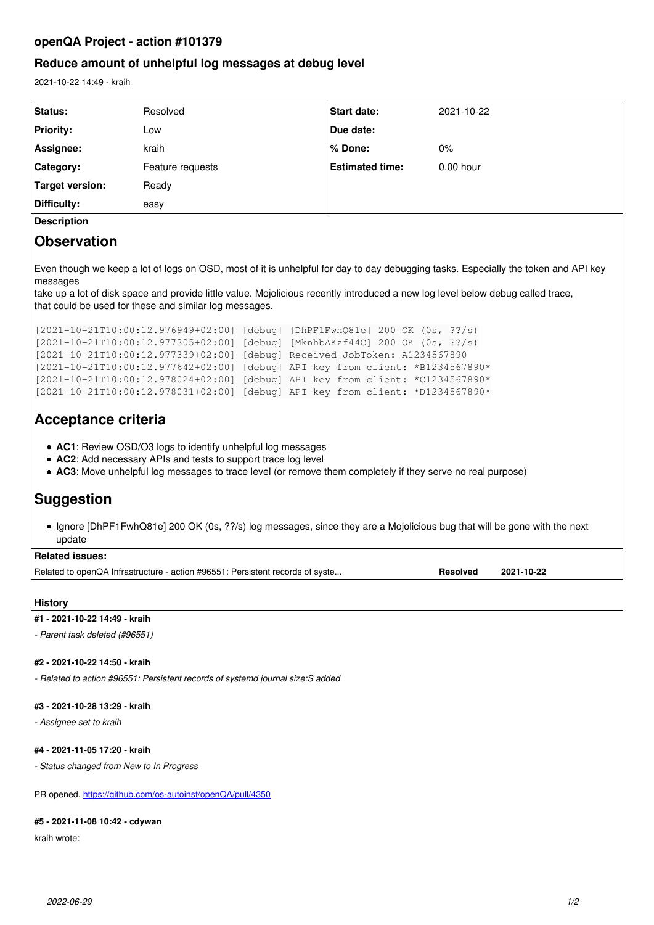### **openQA Project - action #101379**

### **Reduce amount of unhelpful log messages at debug level**

2021-10-22 14:49 - kraih

| Status:            | Resolved         | <b>Start date:</b>     | 2021-10-22  |
|--------------------|------------------|------------------------|-------------|
| <b>Priority:</b>   | Low              | Due date:              |             |
| Assignee:          | kraih            | ∣% Done:               | 0%          |
| Category:          | Feature requests | <b>Estimated time:</b> | $0.00$ hour |
| Target version:    | Ready            |                        |             |
| Difficulty:        | easy             |                        |             |
| <b>Description</b> |                  |                        |             |

## **Observation**

Even though we keep a lot of logs on OSD, most of it is unhelpful for day to day debugging tasks. Especially the token and API key messages

take up a lot of disk space and provide little value. Mojolicious recently introduced a new log level below debug called trace, that could be used for these and similar log messages.

```
[2021-10-21T10:00:12.976949+02:00] [debug] [DhPF1FwhQ81e] 200 OK (0s, ??/s)
[2021-10-21T10:00:12.977305+02:00] [debug] [MknhbAKzf44C] 200 OK (0s, ??/s)
[2021-10-21T10:00:12.977339+02:00] [debug] Received JobToken: A1234567890
[2021-10-21T10:00:12.977642+02:00] [debug] API key from client: *B1234567890*
[2021-10-21T10:00:12.978024+02:00] [debug] API key from client: *C1234567890*
[2021-10-21T10:00:12.978031+02:00] [debug] API key from client: *D1234567890*
```
## **Acceptance criteria**

- **AC1**: Review OSD/O3 logs to identify unhelpful log messages
- **AC2**: Add necessary APIs and tests to support trace log level
- **AC3**: Move unhelpful log messages to trace level (or remove them completely if they serve no real purpose)

# **Suggestion**

• Ignore [DhPF1FwhQ81e] 200 OK (0s, ??/s) log messages, since they are a Mojolicious bug that will be gone with the next update

| <b>Related issues:</b>                                                        |          |            |
|-------------------------------------------------------------------------------|----------|------------|
| Related to openQA Infrastructure - action #96551: Persistent records of syste | Resolved | 2021-10-22 |

#### **History**

#### **#1 - 2021-10-22 14:49 - kraih**

*- Parent task deleted (#96551)*

#### **#2 - 2021-10-22 14:50 - kraih**

*- Related to action #96551: Persistent records of systemd journal size:S added*

#### **#3 - 2021-10-28 13:29 - kraih**

*- Assignee set to kraih*

#### **#4 - 2021-11-05 17:20 - kraih**

*- Status changed from New to In Progress*

PR opened. <https://github.com/os-autoinst/openQA/pull/4350>

#### **#5 - 2021-11-08 10:42 - cdywan**

kraih wrote: